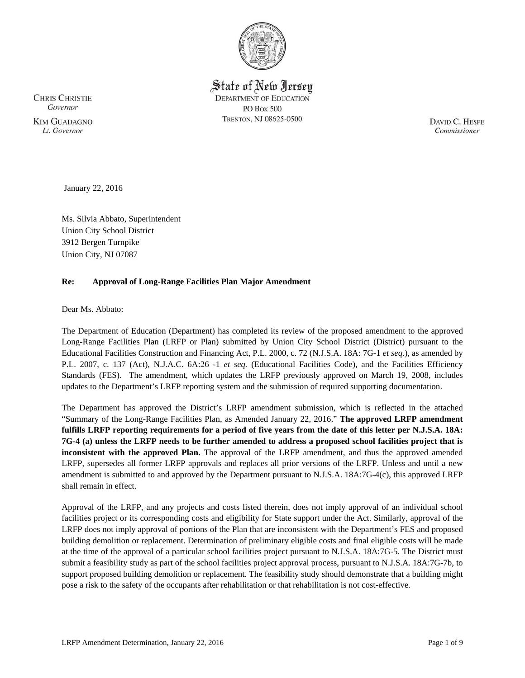

State of New Jersey **DEPARTMENT OF EDUCATION PO Box 500** TRENTON, NJ 08625-0500

**CHRIS CHRISTIE** Governor **KIM GUADAGNO** Lt. Governor

DAVID C. HESPE Commissioner

January 22, 2016

Ms. Silvia Abbato, Superintendent Union City School District 3912 Bergen Turnpike Union City, NJ 07087

### **Re: Approval of Long-Range Facilities Plan Major Amendment**

Dear Ms. Abbato:

The Department of Education (Department) has completed its review of the proposed amendment to the approved Long-Range Facilities Plan (LRFP or Plan) submitted by Union City School District (District) pursuant to the Educational Facilities Construction and Financing Act, P.L. 2000, c. 72 (N.J.S.A. 18A: 7G-1 *et seq.*), as amended by P.L. 2007, c. 137 (Act), N.J.A.C. 6A:26 -1 *et seq.* (Educational Facilities Code), and the Facilities Efficiency Standards (FES). The amendment, which updates the LRFP previously approved on March 19, 2008, includes updates to the Department's LRFP reporting system and the submission of required supporting documentation.

The Department has approved the District's LRFP amendment submission, which is reflected in the attached "Summary of the Long-Range Facilities Plan, as Amended January 22, 2016." **The approved LRFP amendment fulfills LRFP reporting requirements for a period of five years from the date of this letter per N.J.S.A. 18A: 7G-4 (a) unless the LRFP needs to be further amended to address a proposed school facilities project that is inconsistent with the approved Plan.** The approval of the LRFP amendment, and thus the approved amended LRFP, supersedes all former LRFP approvals and replaces all prior versions of the LRFP. Unless and until a new amendment is submitted to and approved by the Department pursuant to N.J.S.A. 18A:7G-4(c), this approved LRFP shall remain in effect.

Approval of the LRFP, and any projects and costs listed therein, does not imply approval of an individual school facilities project or its corresponding costs and eligibility for State support under the Act. Similarly, approval of the LRFP does not imply approval of portions of the Plan that are inconsistent with the Department's FES and proposed building demolition or replacement. Determination of preliminary eligible costs and final eligible costs will be made at the time of the approval of a particular school facilities project pursuant to N.J.S.A. 18A:7G-5. The District must submit a feasibility study as part of the school facilities project approval process, pursuant to N.J.S.A. 18A:7G-7b, to support proposed building demolition or replacement. The feasibility study should demonstrate that a building might pose a risk to the safety of the occupants after rehabilitation or that rehabilitation is not cost-effective.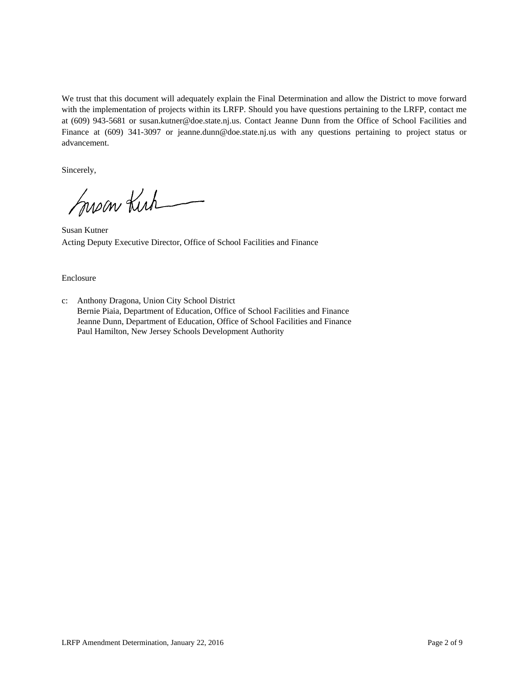We trust that this document will adequately explain the Final Determination and allow the District to move forward with the implementation of projects within its LRFP. Should you have questions pertaining to the LRFP, contact me at (609) 943-5681 or susan.kutner@doe.state.nj.us. Contact Jeanne Dunn from the Office of School Facilities and Finance at (609) 341-3097 or jeanne.dunn@doe.state.nj.us with any questions pertaining to project status or advancement.

Sincerely,

Susan Kirk

Susan Kutner Acting Deputy Executive Director, Office of School Facilities and Finance

#### Enclosure

c: Anthony Dragona, Union City School District Bernie Piaia, Department of Education, Office of School Facilities and Finance Jeanne Dunn, Department of Education, Office of School Facilities and Finance Paul Hamilton, New Jersey Schools Development Authority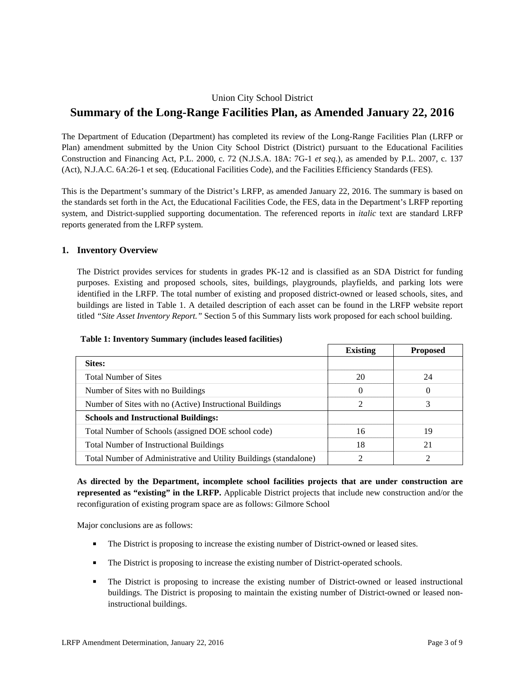## Union City School District

# **Summary of the Long-Range Facilities Plan, as Amended January 22, 2016**

The Department of Education (Department) has completed its review of the Long-Range Facilities Plan (LRFP or Plan) amendment submitted by the Union City School District (District) pursuant to the Educational Facilities Construction and Financing Act, P.L. 2000, c. 72 (N.J.S.A. 18A: 7G-1 *et seq.*), as amended by P.L. 2007, c. 137 (Act), N.J.A.C. 6A:26-1 et seq. (Educational Facilities Code), and the Facilities Efficiency Standards (FES).

This is the Department's summary of the District's LRFP, as amended January 22, 2016. The summary is based on the standards set forth in the Act, the Educational Facilities Code, the FES, data in the Department's LRFP reporting system, and District-supplied supporting documentation. The referenced reports in *italic* text are standard LRFP reports generated from the LRFP system.

## **1. Inventory Overview**

The District provides services for students in grades PK-12 and is classified as an SDA District for funding purposes. Existing and proposed schools, sites, buildings, playgrounds, playfields, and parking lots were identified in the LRFP. The total number of existing and proposed district-owned or leased schools, sites, and buildings are listed in Table 1. A detailed description of each asset can be found in the LRFP website report titled *"Site Asset Inventory Report."* Section 5 of this Summary lists work proposed for each school building.

|                                                                   | <b>Existing</b> | <b>Proposed</b> |
|-------------------------------------------------------------------|-----------------|-----------------|
| Sites:                                                            |                 |                 |
| <b>Total Number of Sites</b>                                      | 20              | 24              |
| Number of Sites with no Buildings                                 | $\theta$        | $\Omega$        |
| Number of Sites with no (Active) Instructional Buildings          | 2               | 3               |
| <b>Schools and Instructional Buildings:</b>                       |                 |                 |
| Total Number of Schools (assigned DOE school code)                | 16              | 19              |
| Total Number of Instructional Buildings                           | 18              | 21              |
| Total Number of Administrative and Utility Buildings (standalone) |                 |                 |

#### **Table 1: Inventory Summary (includes leased facilities)**

**As directed by the Department, incomplete school facilities projects that are under construction are represented as "existing" in the LRFP.** Applicable District projects that include new construction and/or the reconfiguration of existing program space are as follows: Gilmore School

Major conclusions are as follows:

- The District is proposing to increase the existing number of District-owned or leased sites.
- The District is proposing to increase the existing number of District-operated schools.
- The District is proposing to increase the existing number of District-owned or leased instructional buildings. The District is proposing to maintain the existing number of District-owned or leased noninstructional buildings.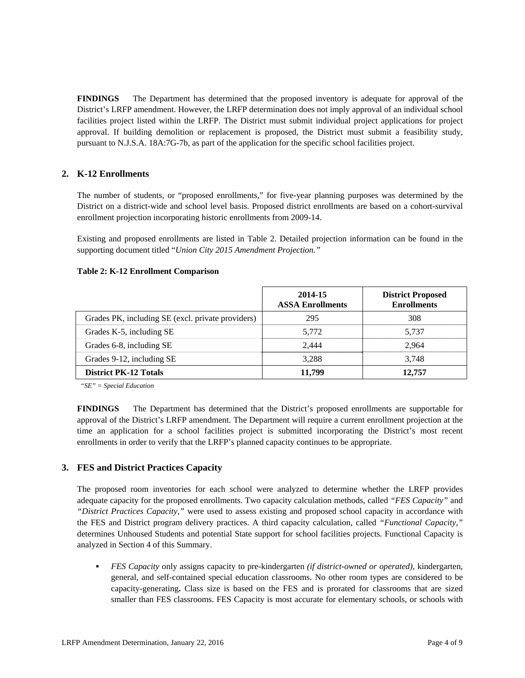**FINDINGS** The Department has determined that the proposed inventory is adequate for approval of the District's LRFP amendment. However, the LRFP determination does not imply approval of an individual school facilities project listed within the LRFP. The District must submit individual project applications for project approval. If building demolition or replacement is proposed, the District must submit a feasibility study, pursuant to N.J.S.A. 18A:7G-7b, as part of the application for the specific school facilities project.

## **2. K-12 Enrollments**

The number of students, or "proposed enrollments," for five-year planning purposes was determined by the District on a district-wide and school level basis. Proposed district enrollments are based on a cohort-survival enrollment projection incorporating historic enrollments from 2009-14.

Existing and proposed enrollments are listed in Table 2. Detailed projection information can be found in the supporting document titled "*Union City 2015 Amendment Projection."*

#### **Table 2: K-12 Enrollment Comparison**

|                                                   | 2014-15<br><b>ASSA Enrollments</b> | <b>District Proposed</b><br><b>Enrollments</b> |
|---------------------------------------------------|------------------------------------|------------------------------------------------|
| Grades PK, including SE (excl. private providers) | 295                                | 308                                            |
| Grades K-5, including SE                          | 5.772                              | 5,737                                          |
| Grades 6-8, including SE                          | 2.444                              | 2.964                                          |
| Grades 9-12, including SE                         | 3,288                              | 3,748                                          |
| <b>District PK-12 Totals</b>                      | 11.799                             | 12,757                                         |

*"SE" = Special Education* 

**FINDINGS** The Department has determined that the District's proposed enrollments are supportable for approval of the District's LRFP amendment. The Department will require a current enrollment projection at the time an application for a school facilities project is submitted incorporating the District's most recent enrollments in order to verify that the LRFP's planned capacity continues to be appropriate.

### **3. FES and District Practices Capacity**

The proposed room inventories for each school were analyzed to determine whether the LRFP provides adequate capacity for the proposed enrollments. Two capacity calculation methods, called *"FES Capacity"* and *"District Practices Capacity,"* were used to assess existing and proposed school capacity in accordance with the FES and District program delivery practices. A third capacity calculation, called *"Functional Capacity,"* determines Unhoused Students and potential State support for school facilities projects. Functional Capacity is analyzed in Section 4 of this Summary.

 *FES Capacity* only assigns capacity to pre-kindergarten *(if district-owned or operated),* kindergarten, general, and self-contained special education classrooms. No other room types are considered to be capacity-generating**.** Class size is based on the FES and is prorated for classrooms that are sized smaller than FES classrooms. FES Capacity is most accurate for elementary schools, or schools with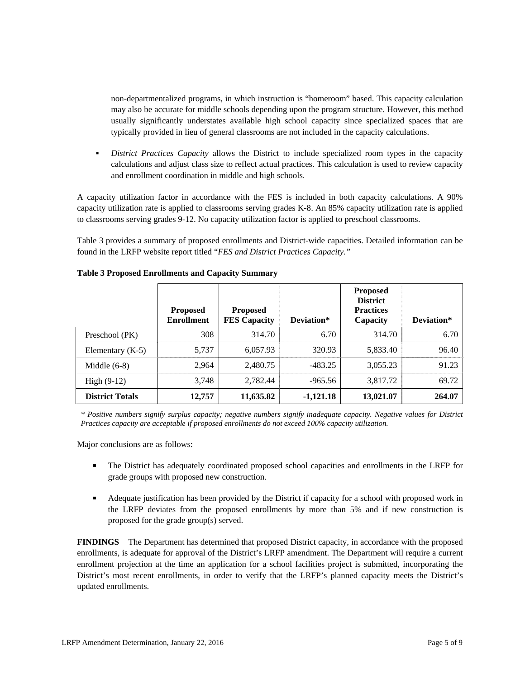non-departmentalized programs, in which instruction is "homeroom" based. This capacity calculation may also be accurate for middle schools depending upon the program structure. However, this method usually significantly understates available high school capacity since specialized spaces that are typically provided in lieu of general classrooms are not included in the capacity calculations.

 *District Practices Capacity* allows the District to include specialized room types in the capacity calculations and adjust class size to reflect actual practices. This calculation is used to review capacity and enrollment coordination in middle and high schools.

A capacity utilization factor in accordance with the FES is included in both capacity calculations. A 90% capacity utilization rate is applied to classrooms serving grades K-8. An 85% capacity utilization rate is applied to classrooms serving grades 9-12. No capacity utilization factor is applied to preschool classrooms.

Table 3 provides a summary of proposed enrollments and District-wide capacities. Detailed information can be found in the LRFP website report titled "*FES and District Practices Capacity."*

|                        | <b>Proposed</b><br><b>Enrollment</b> | <b>Proposed</b><br><b>FES Capacity</b> | Deviation*  | <b>Proposed</b><br><b>District</b><br><b>Practices</b><br>Capacity | Deviation* |
|------------------------|--------------------------------------|----------------------------------------|-------------|--------------------------------------------------------------------|------------|
| Preschool (PK)         | 308                                  | 314.70                                 | 6.70        | 314.70                                                             | 6.70       |
| Elementary $(K-5)$     | 5,737                                | 6,057.93                               | 320.93      | 5,833.40                                                           | 96.40      |
| Middle $(6-8)$         | 2,964                                | 2,480.75                               | $-483.25$   | 3,055.23                                                           | 91.23      |
| High $(9-12)$          | 3,748                                | 2.782.44                               | $-965.56$   | 3,817.72                                                           | 69.72      |
| <b>District Totals</b> | 12,757                               | 11,635.82                              | $-1,121.18$ | 13,021.07                                                          | 264.07     |

### **Table 3 Proposed Enrollments and Capacity Summary**

*\* Positive numbers signify surplus capacity; negative numbers signify inadequate capacity. Negative values for District Practices capacity are acceptable if proposed enrollments do not exceed 100% capacity utilization.* 

Major conclusions are as follows:

- The District has adequately coordinated proposed school capacities and enrollments in the LRFP for grade groups with proposed new construction.
- Adequate justification has been provided by the District if capacity for a school with proposed work in the LRFP deviates from the proposed enrollments by more than 5% and if new construction is proposed for the grade group(s) served.

**FINDINGS** The Department has determined that proposed District capacity, in accordance with the proposed enrollments, is adequate for approval of the District's LRFP amendment. The Department will require a current enrollment projection at the time an application for a school facilities project is submitted, incorporating the District's most recent enrollments, in order to verify that the LRFP's planned capacity meets the District's updated enrollments.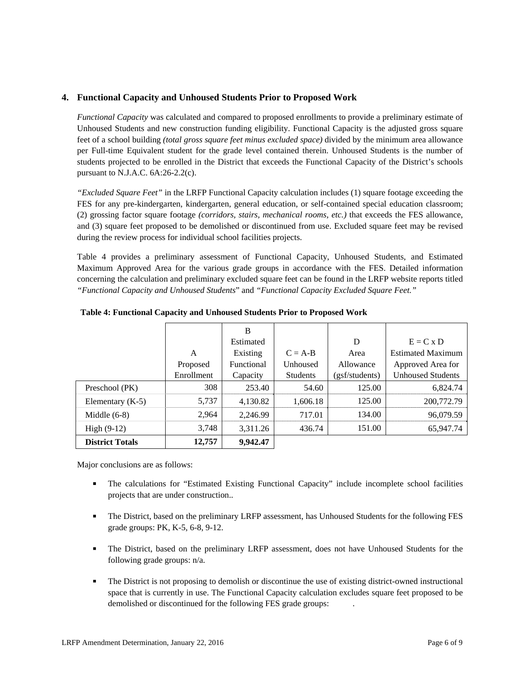### **4. Functional Capacity and Unhoused Students Prior to Proposed Work**

*Functional Capacity* was calculated and compared to proposed enrollments to provide a preliminary estimate of Unhoused Students and new construction funding eligibility. Functional Capacity is the adjusted gross square feet of a school building *(total gross square feet minus excluded space)* divided by the minimum area allowance per Full-time Equivalent student for the grade level contained therein. Unhoused Students is the number of students projected to be enrolled in the District that exceeds the Functional Capacity of the District's schools pursuant to N.J.A.C. 6A:26-2.2(c).

*"Excluded Square Feet"* in the LRFP Functional Capacity calculation includes (1) square footage exceeding the FES for any pre-kindergarten, kindergarten, general education, or self-contained special education classroom; (2) grossing factor square footage *(corridors, stairs, mechanical rooms, etc.)* that exceeds the FES allowance, and (3) square feet proposed to be demolished or discontinued from use. Excluded square feet may be revised during the review process for individual school facilities projects.

Table 4 provides a preliminary assessment of Functional Capacity, Unhoused Students, and Estimated Maximum Approved Area for the various grade groups in accordance with the FES. Detailed information concerning the calculation and preliminary excluded square feet can be found in the LRFP website reports titled *"Functional Capacity and Unhoused Students*" and *"Functional Capacity Excluded Square Feet."*

|                        |            | B          |           |                |                          |
|------------------------|------------|------------|-----------|----------------|--------------------------|
|                        |            | Estimated  |           | D              | $E = C x D$              |
|                        | A          | Existing   | $C = A-B$ | Area           | <b>Estimated Maximum</b> |
|                        | Proposed   | Functional | Unhoused  | Allowance      | Approved Area for        |
|                        | Enrollment | Capacity   | Students  | (gsf/students) | <b>Unhoused Students</b> |
| Preschool (PK)         | 308        | 253.40     | 54.60     | 125.00         | 6,824.74                 |
| Elementary $(K-5)$     | 5,737      | 4,130.82   | 1,606.18  | 125.00         | 200,772.79               |
| Middle $(6-8)$         | 2,964      | 2.246.99   | 717.01    | 134.00         | 96,079.59                |
| High $(9-12)$          | 3,748      | 3,311.26   | 436.74    | 151.00         | 65,947.74                |
| <b>District Totals</b> | 12,757     | 9,942.47   |           |                |                          |

**Table 4: Functional Capacity and Unhoused Students Prior to Proposed Work** 

Major conclusions are as follows:

- The calculations for "Estimated Existing Functional Capacity" include incomplete school facilities projects that are under construction..
- The District, based on the preliminary LRFP assessment, has Unhoused Students for the following FES grade groups: PK, K-5, 6-8, 9-12.
- The District, based on the preliminary LRFP assessment, does not have Unhoused Students for the following grade groups: n/a.
- The District is not proposing to demolish or discontinue the use of existing district-owned instructional space that is currently in use. The Functional Capacity calculation excludes square feet proposed to be demolished or discontinued for the following FES grade groups: .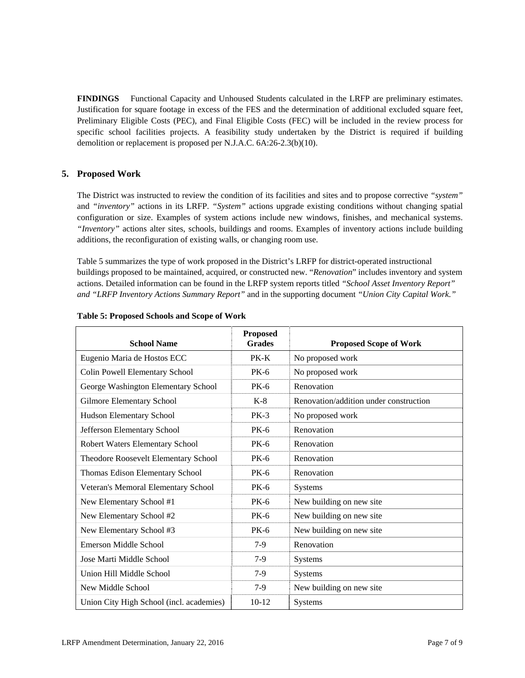**FINDINGS** Functional Capacity and Unhoused Students calculated in the LRFP are preliminary estimates. Justification for square footage in excess of the FES and the determination of additional excluded square feet, Preliminary Eligible Costs (PEC), and Final Eligible Costs (FEC) will be included in the review process for specific school facilities projects. A feasibility study undertaken by the District is required if building demolition or replacement is proposed per N.J.A.C. 6A:26-2.3(b)(10).

## **5. Proposed Work**

The District was instructed to review the condition of its facilities and sites and to propose corrective *"system"* and *"inventory"* actions in its LRFP. *"System"* actions upgrade existing conditions without changing spatial configuration or size. Examples of system actions include new windows, finishes, and mechanical systems. *"Inventory"* actions alter sites, schools, buildings and rooms. Examples of inventory actions include building additions, the reconfiguration of existing walls, or changing room use.

Table 5 summarizes the type of work proposed in the District's LRFP for district-operated instructional buildings proposed to be maintained, acquired, or constructed new. "*Renovation*" includes inventory and system actions. Detailed information can be found in the LRFP system reports titled *"School Asset Inventory Report" and "LRFP Inventory Actions Summary Report"* and in the supporting document *"Union City Capital Work."*

| <b>School Name</b>                       | <b>Proposed</b><br><b>Grades</b> | <b>Proposed Scope of Work</b>          |
|------------------------------------------|----------------------------------|----------------------------------------|
| Eugenio Maria de Hostos ECC              | $PK-K$                           | No proposed work                       |
| Colin Powell Elementary School           | $PK-6$                           | No proposed work                       |
| George Washington Elementary School      | $PK-6$                           | Renovation                             |
| Gilmore Elementary School                | $K-8$                            | Renovation/addition under construction |
| Hudson Elementary School                 | $PK-3$                           | No proposed work                       |
| Jefferson Elementary School              | $PK-6$                           | Renovation                             |
| Robert Waters Elementary School          | $PK-6$                           | Renovation                             |
| Theodore Roosevelt Elementary School     | $PK-6$                           | Renovation                             |
| Thomas Edison Elementary School          | $PK-6$                           | Renovation                             |
| Veteran's Memoral Elementary School      | <b>PK-6</b>                      | <b>Systems</b>                         |
| New Elementary School #1                 | $PK-6$                           | New building on new site               |
| New Elementary School #2                 | <b>PK-6</b>                      | New building on new site               |
| New Elementary School #3                 | <b>PK-6</b>                      | New building on new site               |
| Emerson Middle School                    | $7-9$                            | Renovation                             |
| Jose Marti Middle School                 | $7-9$                            | Systems                                |
| Union Hill Middle School                 | $7-9$                            | Systems                                |
| New Middle School                        | $7-9$                            | New building on new site               |
| Union City High School (incl. academies) | $10 - 12$                        | <b>Systems</b>                         |

#### **Table 5: Proposed Schools and Scope of Work**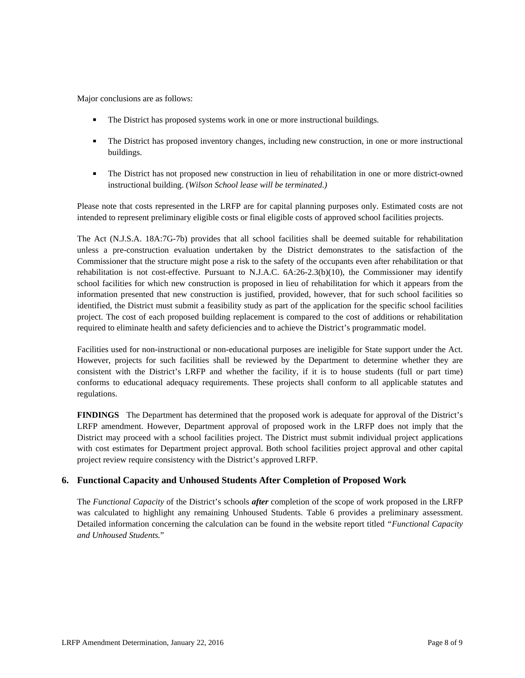Major conclusions are as follows:

- The District has proposed systems work in one or more instructional buildings.
- The District has proposed inventory changes, including new construction, in one or more instructional buildings.
- The District has not proposed new construction in lieu of rehabilitation in one or more district-owned instructional building. (*Wilson School lease will be terminated.)*

Please note that costs represented in the LRFP are for capital planning purposes only. Estimated costs are not intended to represent preliminary eligible costs or final eligible costs of approved school facilities projects.

The Act (N.J.S.A. 18A:7G-7b) provides that all school facilities shall be deemed suitable for rehabilitation unless a pre-construction evaluation undertaken by the District demonstrates to the satisfaction of the Commissioner that the structure might pose a risk to the safety of the occupants even after rehabilitation or that rehabilitation is not cost-effective. Pursuant to N.J.A.C. 6A:26-2.3(b)(10), the Commissioner may identify school facilities for which new construction is proposed in lieu of rehabilitation for which it appears from the information presented that new construction is justified, provided, however, that for such school facilities so identified, the District must submit a feasibility study as part of the application for the specific school facilities project. The cost of each proposed building replacement is compared to the cost of additions or rehabilitation required to eliminate health and safety deficiencies and to achieve the District's programmatic model.

Facilities used for non-instructional or non-educational purposes are ineligible for State support under the Act. However, projects for such facilities shall be reviewed by the Department to determine whether they are consistent with the District's LRFP and whether the facility, if it is to house students (full or part time) conforms to educational adequacy requirements. These projects shall conform to all applicable statutes and regulations.

**FINDINGS** The Department has determined that the proposed work is adequate for approval of the District's LRFP amendment. However, Department approval of proposed work in the LRFP does not imply that the District may proceed with a school facilities project. The District must submit individual project applications with cost estimates for Department project approval. Both school facilities project approval and other capital project review require consistency with the District's approved LRFP.

# **6. Functional Capacity and Unhoused Students After Completion of Proposed Work**

The *Functional Capacity* of the District's schools *after* completion of the scope of work proposed in the LRFP was calculated to highlight any remaining Unhoused Students. Table 6 provides a preliminary assessment. Detailed information concerning the calculation can be found in the website report titled *"Functional Capacity and Unhoused Students.*"